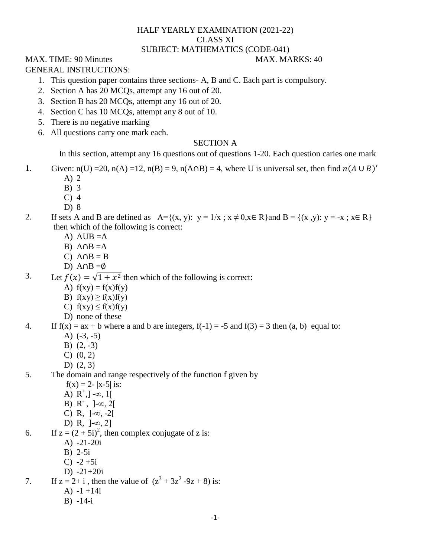# HALF YEARLY EXAMINATION (2021-22) CLASS XI SUBJECT: MATHEMATICS (CODE-041)

# MAX. TIME: 90 Minutes MAX. MARKS: 40

GENERAL INSTRUCTIONS:

- 1. This question paper contains three sections- A, B and C. Each part is compulsory.
- 2. Section A has 20 MCQs, attempt any 16 out of 20.
- 3. Section B has 20 MCQs, attempt any 16 out of 20.
- 4. Section C has 10 MCQs, attempt any 8 out of 10.
- 5. There is no negative marking
- 6. All questions carry one mark each.

# SECTION A

In this section, attempt any 16 questions out of questions 1-20. Each question caries one mark

- 1. Given:  $n(U) = 20$ ,  $n(A) = 12$ ,  $n(B) = 9$ ,  $n(A \cap B) = 4$ , where U is universal set, then find  $n(A \cup B)'$ 
	- A) 2
	- B) 3
	- C) 4
	- D) 8
- 2. If sets A and B are defined as  $A=\{(x, y): y=1/x; x\neq 0, x\in \mathbb{R}\}$  and  $B=\{(x, y): y=x; x\in \mathbb{R}\}$ then which of the following is correct:
	- A) AUB  $=A$
	- B)  $A \cap B = A$
	- C)  $A \cap B = B$
	- D)  $A \cap B = \emptyset$
- 3. Let  $f(x) = \sqrt{1 + x^2}$  then which of the following is correct:
	- A)  $f(xy) = f(x)f(y)$
	- B)  $f(xy) \ge f(x)f(y)$
	- C)  $f(xy) \le f(x)f(y)$
	- D) none of these
- 4. If  $f(x) = ax + b$  where a and b are integers,  $f(-1) = -5$  and  $f(3) = 3$  then  $(a, b)$  equal to:
	- A) (-3, -5)
	- B) (2, -3)
	- C) (0, 2)
	- D) (2, 3)
- 5. The domain and range respectively of the function f given by
	- $f(x) = 2 |x-5|$  is:
	- A)  $R^+$ ,  $] \infty$ , 1 $[$
	- B) R,  $]-\infty, 2[$
	- C) R,  $]-∞, -2[$
	- D) R, ]-∞, 2]
- 6. If  $z = (2 + 5i)^2$ , then complex conjugate of z is:
	- A) -21-20i
	- B) 2-5i
	- C)  $-2 + 5i$
	- D) -21+20i

7. If  $z = 2 + i$ , then the value of  $(z^3 + 3z^2 - 9z + 8)$  is:

- A)  $-1 +14i$
- B) -14-i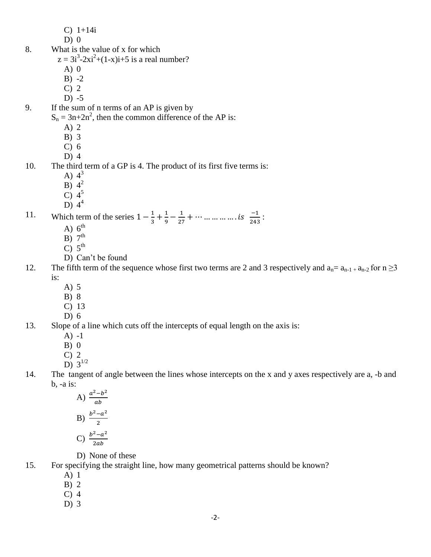- C) 1+14i
- $D$ ) 0
- 8. What is the value of x for which
	- $z = 3i^3 2xi^2 + (1 x)i + 5$  is a real number?
		- A) 0
		- $B) -2$
		- C) 2
		- $D) -5$
- 9. If the sum of n terms of an AP is given by
	- $S_n = 3n + 2n^2$ , then the common difference of the AP is:
		- A) 2
		- B) 3
		- C) 6
		- D) 4

# 10. The third term of a GP is 4. The product of its first five terms is:

- A)  $4^3$
- $\overline{B}$ ) 4<sup>2</sup>
- $\overline{C}$ ) 4<sup>5</sup>
- $\overline{D}$ ) 4<sup>4</sup>

11. Which term of the series  $1-\frac{1}{3}$  $\frac{1}{3} + \frac{1}{9}$  $\frac{1}{9} - \frac{1}{27}$  $\frac{1}{27} + \cdots$  ... ... ... ... is  $\frac{-1}{243}$ :

- A)  $6^{\text{th}}$
- $B)$  7<sup>th</sup>
- $\overline{C}$ )  $5^{\text{th}}$
- D) Can't be found
- 12. The fifth term of the sequence whose first two terms are 2 and 3 respectively and  $a_n = a_{n-1} + a_{n-2}$  for  $n \ge 3$ is:
	- A) 5
	- B) 8
	- C) 13
- D) 6 13. Slope of a line which cuts off the intercepts of equal length on the axis is:
	- $A) -1$
	- $B$ ) 0
	- C) 2
	- D)  $3^{1/2}$
- 14. The tangent of angle between the lines whose intercepts on the x and y axes respectively are a, -b and b, -a is:

A) 
$$
\frac{a^2-b^2}{ab}
$$
  
B) 
$$
\frac{b^2-a^2}{2}
$$
  
C) 
$$
\frac{b^2-a^2}{2ab}
$$

D) None of these

15. For specifying the straight line, how many geometrical patterns should be known?

- A) 1
- B) 2
- C) 4
- D) 3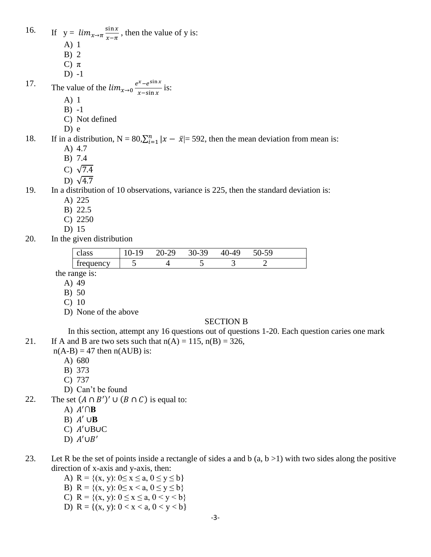16. If  $y = lim_{x \to \pi} \frac{s}{x}$  $\frac{\sin x}{x-\pi}$ , then the value of y is: A) 1 B) 2 C)  $\pi$ D) -1

17. The value of the 
$$
\lim_{x\to 0} \frac{e^x - e^{\sin x}}{x - \sin x}
$$
 is:

- A) 1
- B) -1
- C) Not defined
- D) e

18. If in a distribution,  $N = 80$ ,  $\sum_{i=1}^{n} |x - \bar{x}| = 592$ , then the mean deviation from mean is: A) 4.7

- B) 7.4
- C)  $\sqrt{7.4}$
- D)  $\sqrt{4.7}$
- 

### 19. In a distribution of 10 observations, variance is 225, then the standard deviation is:

- A) 225
- B) 22.5
- C) 2250
- D) 15
- 20. In the given distribution

| class     | $0 - 19$ | 20-29 | $30 - 39$ | ገ_49<br>21 I | $50-59$ |  |
|-----------|----------|-------|-----------|--------------|---------|--|
| frequency | ັ        |       |           |              |         |  |

the range is:

- A) 49
- B) 50
- C) 10
- D) None of the above

#### SECTION B

In this section, attempt any 16 questions out of questions 1-20. Each question caries one mark 21. If A and B are two sets such that  $n(A) = 115$ ,  $n(B) = 326$ ,

- $n(A-B) = 47$  then  $n(AUB)$  is:
	- A) 680
	- B) 373
	- C) 737
	- D) Can't be found
- 22. The set  $(A \cap B')' \cup (B \cap C)$  is equal to:
	- A)  $A' \cap B$
	- B)  $A' \cup B$
	- $C)$   $A'$ UBUC
	- D)  $A' \cup B'$
- 23. Let R be the set of points inside a rectangle of sides a and b  $(a, b > 1)$  with two sides along the positive direction of x-axis and y-axis, then:
	- A) R =  $\{(x, y): 0 \le x \le a, 0 \le y \le b\}$ B) R =  $\{(x, y): 0 \le x < a, 0 \le y \le b\}$
	- C) R =  $\{(x, y): 0 \le x \le a, 0 \le y \le b\}$
	- D)  $R = \{(x, y): 0 < x < a, 0 < y < b\}$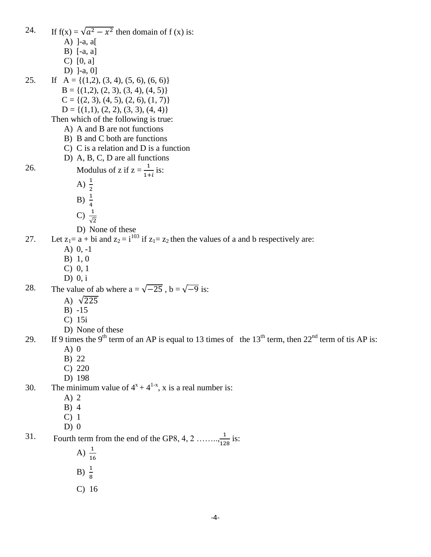24. If  $f(x) = \sqrt{a^2 - x^2}$  then domain of  $f(x)$  is: A) ]-a, a[ B) [-a, a] C) [0, a] D) ]-a, 0] 25. If  $A = \{(1,2), (3, 4), (5, 6), (6, 6)\}\$  $B = \{(1,2), (2, 3), (3, 4), (4, 5)\}\$  $C = \{(2, 3), (4, 5), (2, 6), (1, 7)\}\$  $D = \{(1,1), (2, 2), (3, 3), (4, 4)\}\$ Then which of the following is true: A) A and B are not functions B) B and C both are functions C) C is a relation and D is a function D) A, B, C, D are all functions 26. Modulus of z if  $z = \frac{1}{1+i}$  is: A)  $\frac{1}{2}$ B)  $\frac{1}{4}$ C)  $\frac{1}{\sqrt{2}}$ D) None of these 27. Let  $z_1 = a + bi$  and  $z_2 = i^{103}$  if  $z_1 = z_2$  then the values of a and b respectively are: A) 0, -1 B) 1, 0 C) 0, 1 D) 0, i 28. The value of ab where  $a = \sqrt{-25}$ ,  $b = \sqrt{-9}$  is: A)  $\sqrt{225}$ B) -15 C) 15i D) None of these 29. If 9 times the 9<sup>th</sup> term of an AP is equal to 13 times of the 13<sup>th</sup> term, then  $22<sup>nd</sup>$  term of tis AP is:  $A)$  0 B) 22 C) 220 D) 198 30. The minimum value of  $4^{x} + 4^{1-x}$ , x is a real number is: A) 2 B) 4 C) 1  $D)$  0 31. Fourth term from the end of the GP8, 4, 2 …  $\frac{1}{128}$  is: A)  $\frac{1}{16}$ B)  $\frac{1}{8}$ C) 16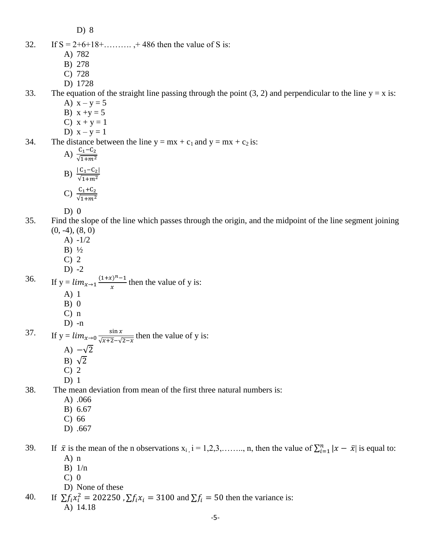D) 8

- 32. If  $S = 2+6+18+$ ………., +486 then the value of S is:
	- A) 782
	- B) 278
	- C) 728
	- D) 1728

33. The equation of the straight line passing through the point  $(3, 2)$  and perpendicular to the line  $y = x$  is:

- A)  $x y = 5$
- B)  $x + y = 5$
- C)  $x + y = 1$
- D)  $x y = 1$

34. The distance between the line  $y = mx + c_1$  and  $y = mx + c_2$  is:

- A)  $\frac{C_1}{\sqrt{1}}$
- B)  $\frac{|C_1|}{\sqrt{1}}$
- C)  $\frac{C_1}{\sqrt{1}}$
- $D)$  0
- 35. Find the slope of the line which passes through the origin, and the midpoint of the line segment joining  $(0, -4)$ ,  $(8, 0)$ 
	- A) -1/2
	- B) ½
	- C) 2
	- D)  $-2$

36. If  $y = lim_{x\to 1} \frac{(1+x)^n}{x}$  $\frac{y}{x}$  then the value of y is: A) 1

- B) 0
- C) n
- D) -n

37. If  $y = lim_{x\to 0} \frac{s}{\sqrt{1 + \left(1 + \frac{1}{x}\right)^2}}$  $\frac{\sin x}{\sqrt{x+2}-\sqrt{2-x}}$  then the value of y is:

- A)  $-\sqrt{2}$
- B)  $\sqrt{2}$
- C) 2
- D) 1

38. The mean deviation from mean of the first three natural numbers is:

- A) .066
- B) 6.67
- C) 66
- D) .667

39. If  $\bar{x}$  is the mean of the n observations  $x_i$ ,  $i = 1, 2, 3, \ldots, n$ , then the value of  $\sum_{i=1}^{n} |x - \bar{x}|$  is equal to: A) n

- B) 1/n
- $C$ ) 0
- D) None of these
- 40. If  $\sum f_i x_i^2 = 202250$ ,  $\sum f_i x_i = 3100$  and  $\sum f_i = 50$  then the variance is: A) 14.18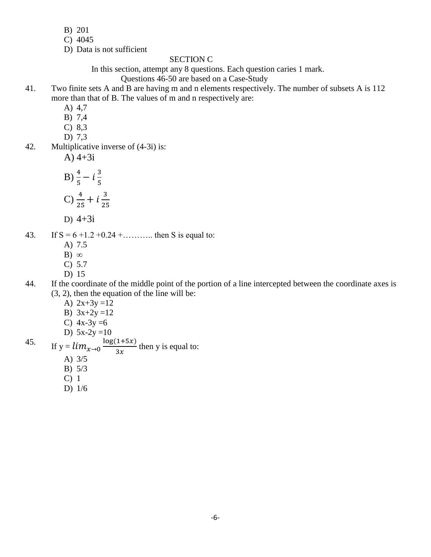- B) 201
- C) 4045
- D) Data is not sufficient

# SECTION C

In this section, attempt any 8 questions. Each question caries 1 mark.

# Questions 46-50 are based on a Case-Study

- 41. Two finite sets A and B are having m and n elements respectively. The number of subsets A is 112 more than that of B. The values of m and n respectively are:
	- A) 4,7
	- B) 7,4
	- C) 8,3
	- D) 7,3
- 42. Multiplicative inverse of (4-3i) is:
	- A)  $4+3i$

B) 
$$
\frac{4}{5} - i\frac{3}{5}
$$
  
C)  $\frac{4}{25} + i\frac{3}{25}$ 

D)  $4+3i$ 

43. If  $S = 6 + 1.2 + 0.24 + \dots$  then S is equal to:

- A) 7.5
- B)  $\infty$
- C) 5.7
- D) 15
- 44. If the coordinate of the middle point of the portion of a line intercepted between the coordinate axes is (3, 2), then the equation of the line will be:
	- A)  $2x+3y=12$
	- B)  $3x+2y=12$

C) 
$$
4x-3y=6
$$

D)  $5x-2y=10$ 

45. If  $y = lim_{x\to 0} \frac{log(1+5x)}{dx}$  $\frac{(1+5x)}{3x}$  then y is equal to:

- A) 3/5
- B) 5/3
- C) 1
- D) 1/6